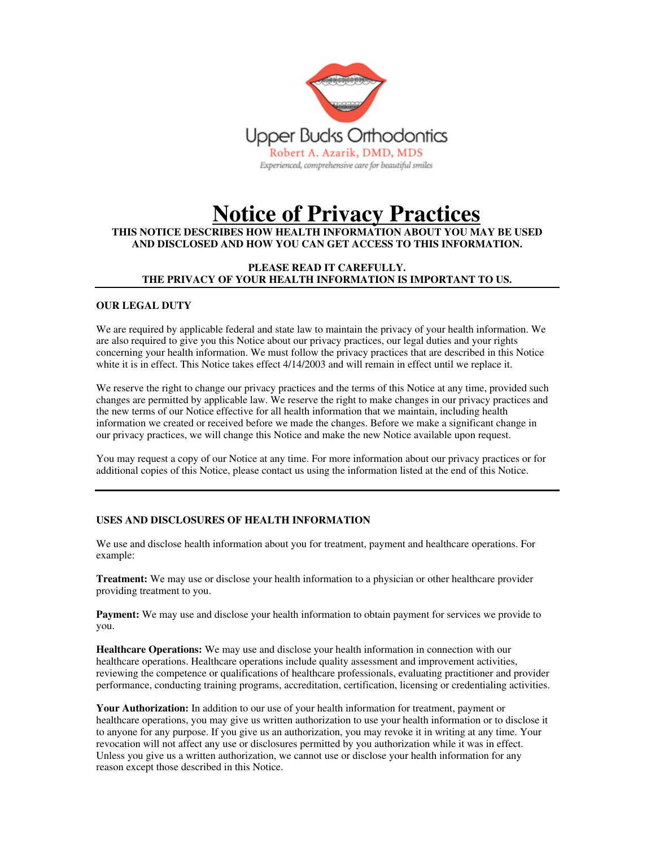

# **Notice of Privacy Practices THIS NOTICE DESCRIBES HOW HEALTH INFORMATION ABOUT YOU MAY BE USED AND DISCLOSED AND HOW YOU CAN GET ACCESS TO THIS INFORMATION.**

#### **PLEASE READ IT CAREFULLY. THE PRIVACY OF YOUR HEALTH INFORMATION IS IMPORTANT TO US.**

## **OUR LEGAL DUTY**

We are required by applicable federal and state law to maintain the privacy of your health information. We are also required to give you this Notice about our privacy practices, our legal duties and your rights concerning your health information. We must follow the privacy practices that are described in this Notice white it is in effect. This Notice takes effect  $4/14/2003$  and will remain in effect until we replace it.

We reserve the right to change our privacy practices and the terms of this Notice at any time, provided such changes are permitted by applicable law. We reserve the right to make changes in our privacy practices and the new terms of our Notice effective for all health information that we maintain, including health information we created or received before we made the changes. Before we make a significant change in our privacy practices, we will change this Notice and make the new Notice available upon request.

You may request a copy of our Notice at any time. For more information about our privacy practices or for additional copies of this Notice, please contact us using the information listed at the end of this Notice.

### **USES AND DISCLOSURES OF HEALTH INFORMATION**

We use and disclose health information about you for treatment, payment and healthcare operations. For example:

**Treatment:** We may use or disclose your health information to a physician or other healthcare provider providing treatment to you.

**Payment:** We may use and disclose your health information to obtain payment for services we provide to you.

**Healthcare Operations:** We may use and disclose your health information in connection with our healthcare operations. Healthcare operations include quality assessment and improvement activities, reviewing the competence or qualifications of healthcare professionals, evaluating practitioner and provider performance, conducting training programs, accreditation, certification, licensing or credentialing activities.

**Your Authorization:** In addition to our use of your health information for treatment, payment or healthcare operations, you may give us written authorization to use your health information or to disclose it to anyone for any purpose. If you give us an authorization, you may revoke it in writing at any time. Your revocation will not affect any use or disclosures permitted by you authorization while it was in effect. Unless you give us a written authorization, we cannot use or disclose your health information for any reason except those described in this Notice.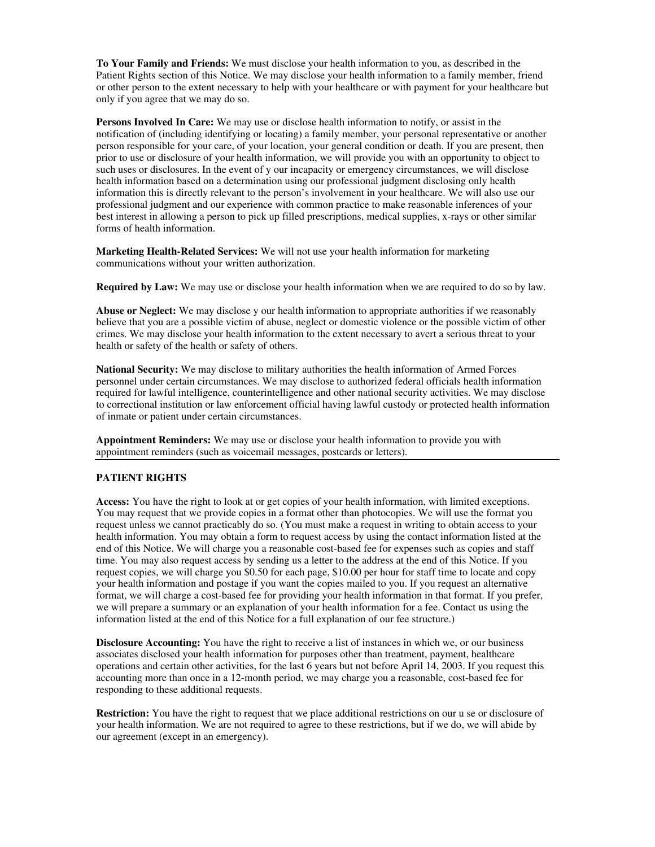**To Your Family and Friends:** We must disclose your health information to you, as described in the Patient Rights section of this Notice. We may disclose your health information to a family member, friend or other person to the extent necessary to help with your healthcare or with payment for your healthcare but only if you agree that we may do so.

**Persons Involved In Care:** We may use or disclose health information to notify, or assist in the notification of (including identifying or locating) a family member, your personal representative or another person responsible for your care, of your location, your general condition or death. If you are present, then prior to use or disclosure of your health information, we will provide you with an opportunity to object to such uses or disclosures. In the event of y our incapacity or emergency circumstances, we will disclose health information based on a determination using our professional judgment disclosing only health information this is directly relevant to the person's involvement in your healthcare. We will also use our professional judgment and our experience with common practice to make reasonable inferences of your best interest in allowing a person to pick up filled prescriptions, medical supplies, x-rays or other similar forms of health information.

**Marketing Health-Related Services:** We will not use your health information for marketing communications without your written authorization.

**Required by Law:** We may use or disclose your health information when we are required to do so by law.

**Abuse or Neglect:** We may disclose y our health information to appropriate authorities if we reasonably believe that you are a possible victim of abuse, neglect or domestic violence or the possible victim of other crimes. We may disclose your health information to the extent necessary to avert a serious threat to your health or safety of the health or safety of others.

**National Security:** We may disclose to military authorities the health information of Armed Forces personnel under certain circumstances. We may disclose to authorized federal officials health information required for lawful intelligence, counterintelligence and other national security activities. We may disclose to correctional institution or law enforcement official having lawful custody or protected health information of inmate or patient under certain circumstances.

**Appointment Reminders:** We may use or disclose your health information to provide you with appointment reminders (such as voicemail messages, postcards or letters).

#### **PATIENT RIGHTS**

**Access:** You have the right to look at or get copies of your health information, with limited exceptions. You may request that we provide copies in a format other than photocopies. We will use the format you request unless we cannot practicably do so. (You must make a request in writing to obtain access to your health information. You may obtain a form to request access by using the contact information listed at the end of this Notice. We will charge you a reasonable cost-based fee for expenses such as copies and staff time. You may also request access by sending us a letter to the address at the end of this Notice. If you request copies, we will charge you \$0.50 for each page, \$10.00 per hour for staff time to locate and copy your health information and postage if you want the copies mailed to you. If you request an alternative format, we will charge a cost-based fee for providing your health information in that format. If you prefer, we will prepare a summary or an explanation of your health information for a fee. Contact us using the information listed at the end of this Notice for a full explanation of our fee structure.)

**Disclosure Accounting:** You have the right to receive a list of instances in which we, or our business associates disclosed your health information for purposes other than treatment, payment, healthcare operations and certain other activities, for the last 6 years but not before April 14, 2003. If you request this accounting more than once in a 12-month period, we may charge you a reasonable, cost-based fee for responding to these additional requests.

**Restriction:** You have the right to request that we place additional restrictions on our u se or disclosure of your health information. We are not required to agree to these restrictions, but if we do, we will abide by our agreement (except in an emergency).